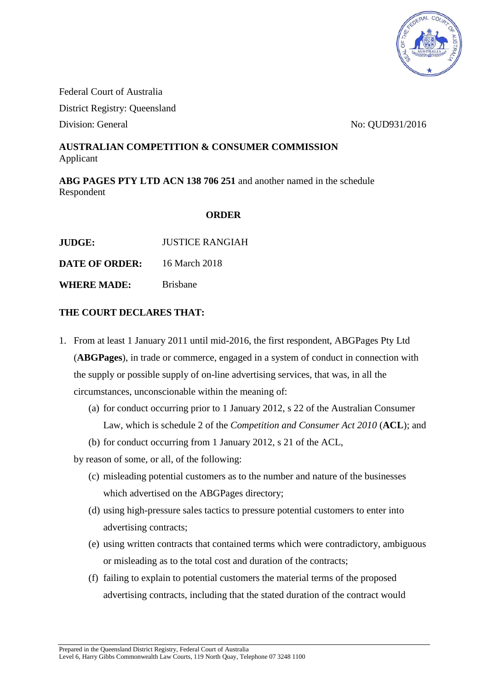

Federal Court of Australia District Registry: Queensland Division: General No: QUD931/2016

## **AUSTRALIAN COMPETITION & CONSUMER COMMISSION** Applicant

**ABG PAGES PTY LTD ACN 138 706 251** and another named in the schedule Respondent

## **ORDER**

**JUDGE:** JUSTICE RANGIAH

**DATE OF ORDER:** 16 March 2018

**WHERE MADE:** Brisbane

## **THE COURT DECLARES THAT:**

- 1. From at least 1 January 2011 until mid-2016, the first respondent, ABGPages Pty Ltd (**ABGPages**), in trade or commerce, engaged in a system of conduct in connection with the supply or possible supply of on-line advertising services, that was, in all the circumstances, unconscionable within the meaning of:
	- (a) for conduct occurring prior to 1 January 2012, s 22 of the Australian Consumer Law, which is schedule 2 of the *Competition and Consumer Act 2010* (**ACL**); and
	- (b) for conduct occurring from 1 January 2012, s 21 of the ACL,

by reason of some, or all, of the following:

- (c) misleading potential customers as to the number and nature of the businesses which advertised on the ABGPages directory;
- (d) using high-pressure sales tactics to pressure potential customers to enter into advertising contracts;
- (e) using written contracts that contained terms which were contradictory, ambiguous or misleading as to the total cost and duration of the contracts;
- (f) failing to explain to potential customers the material terms of the proposed advertising contracts, including that the stated duration of the contract would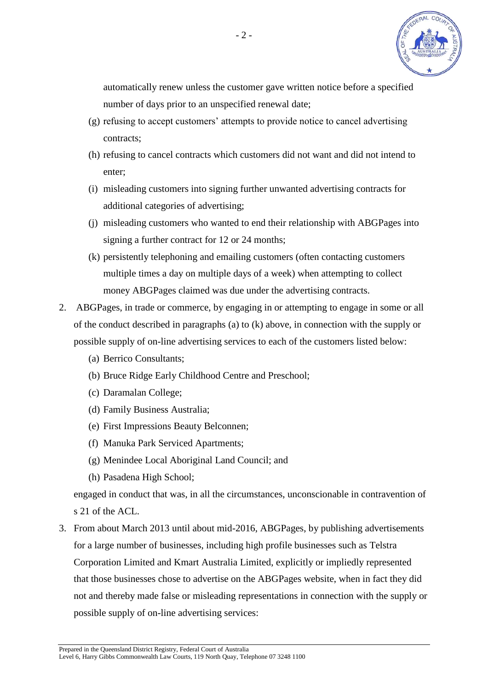

automatically renew unless the customer gave written notice before a specified number of days prior to an unspecified renewal date;

- (g) refusing to accept customers' attempts to provide notice to cancel advertising contracts;
- (h) refusing to cancel contracts which customers did not want and did not intend to enter;
- (i) misleading customers into signing further unwanted advertising contracts for additional categories of advertising;
- (j) misleading customers who wanted to end their relationship with ABGPages into signing a further contract for 12 or 24 months;
- (k) persistently telephoning and emailing customers (often contacting customers multiple times a day on multiple days of a week) when attempting to collect money ABGPages claimed was due under the advertising contracts.
- 2. ABGPages, in trade or commerce, by engaging in or attempting to engage in some or all of the conduct described in paragraphs (a) to (k) above, in connection with the supply or possible supply of on-line advertising services to each of the customers listed below:
	- (a) Berrico Consultants;
	- (b) Bruce Ridge Early Childhood Centre and Preschool;
	- (c) Daramalan College;
	- (d) Family Business Australia;
	- (e) First Impressions Beauty Belconnen;
	- (f) Manuka Park Serviced Apartments;
	- (g) Menindee Local Aboriginal Land Council; and
	- (h) Pasadena High School;

engaged in conduct that was, in all the circumstances, unconscionable in contravention of s 21 of the ACL.

3. From about March 2013 until about mid-2016, ABGPages, by publishing advertisements for a large number of businesses, including high profile businesses such as Telstra Corporation Limited and Kmart Australia Limited, explicitly or impliedly represented that those businesses chose to advertise on the ABGPages website, when in fact they did not and thereby made false or misleading representations in connection with the supply or possible supply of on-line advertising services: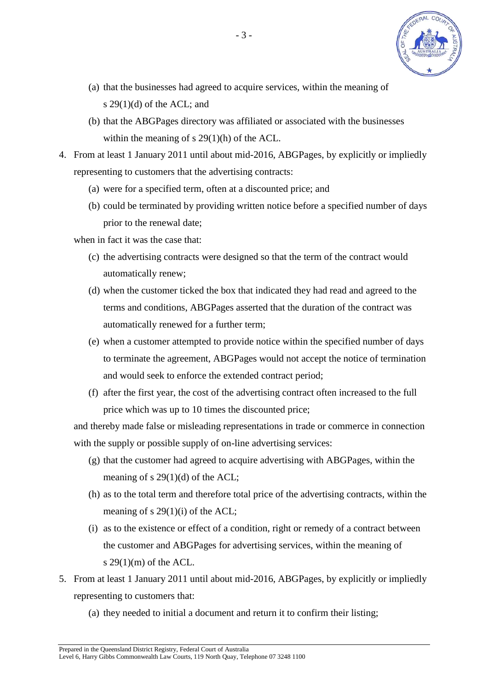

- (a) that the businesses had agreed to acquire services, within the meaning of s  $29(1)(d)$  of the ACL; and
- (b) that the ABGPages directory was affiliated or associated with the businesses within the meaning of s 29(1)(h) of the ACL.
- 4. From at least 1 January 2011 until about mid-2016, ABGPages, by explicitly or impliedly representing to customers that the advertising contracts:
	- (a) were for a specified term, often at a discounted price; and
	- (b) could be terminated by providing written notice before a specified number of days prior to the renewal date;

when in fact it was the case that:

- (c) the advertising contracts were designed so that the term of the contract would automatically renew;
- (d) when the customer ticked the box that indicated they had read and agreed to the terms and conditions, ABGPages asserted that the duration of the contract was automatically renewed for a further term;
- (e) when a customer attempted to provide notice within the specified number of days to terminate the agreement, ABGPages would not accept the notice of termination and would seek to enforce the extended contract period;
- (f) after the first year, the cost of the advertising contract often increased to the full price which was up to 10 times the discounted price;

and thereby made false or misleading representations in trade or commerce in connection with the supply or possible supply of on-line advertising services:

- (g) that the customer had agreed to acquire advertising with ABGPages, within the meaning of s 29(1)(d) of the ACL;
- (h) as to the total term and therefore total price of the advertising contracts, within the meaning of s 29(1)(i) of the ACL;
- (i) as to the existence or effect of a condition, right or remedy of a contract between the customer and ABGPages for advertising services, within the meaning of s  $29(1)(m)$  of the ACL.
- 5. From at least 1 January 2011 until about mid-2016, ABGPages, by explicitly or impliedly representing to customers that:
	- (a) they needed to initial a document and return it to confirm their listing;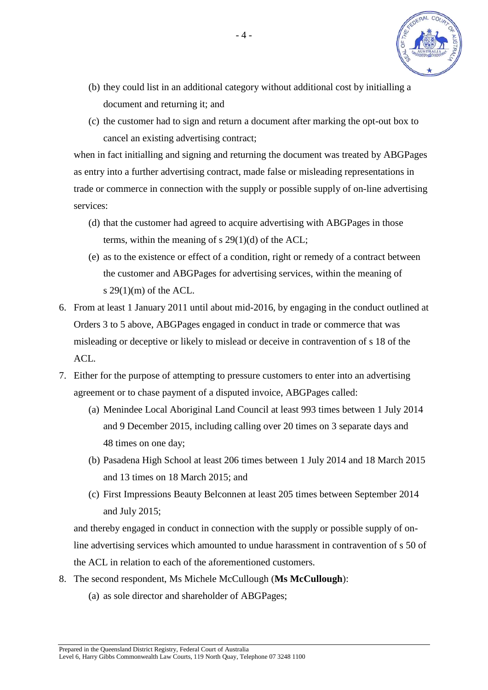

- (b) they could list in an additional category without additional cost by initialling a document and returning it; and
- (c) the customer had to sign and return a document after marking the opt-out box to cancel an existing advertising contract;

when in fact initialling and signing and returning the document was treated by ABGPages as entry into a further advertising contract, made false or misleading representations in trade or commerce in connection with the supply or possible supply of on-line advertising services:

- (d) that the customer had agreed to acquire advertising with ABGPages in those terms, within the meaning of s 29(1)(d) of the ACL;
- (e) as to the existence or effect of a condition, right or remedy of a contract between the customer and ABGPages for advertising services, within the meaning of s  $29(1)(m)$  of the ACL.
- 6. From at least 1 January 2011 until about mid-2016, by engaging in the conduct outlined at Orders 3 to 5 above, ABGPages engaged in conduct in trade or commerce that was misleading or deceptive or likely to mislead or deceive in contravention of s 18 of the ACL.
- 7. Either for the purpose of attempting to pressure customers to enter into an advertising agreement or to chase payment of a disputed invoice, ABGPages called:
	- (a) Menindee Local Aboriginal Land Council at least 993 times between 1 July 2014 and 9 December 2015, including calling over 20 times on 3 separate days and 48 times on one day;
	- (b) Pasadena High School at least 206 times between 1 July 2014 and 18 March 2015 and 13 times on 18 March 2015; and
	- (c) First Impressions Beauty Belconnen at least 205 times between September 2014 and July 2015;

and thereby engaged in conduct in connection with the supply or possible supply of online advertising services which amounted to undue harassment in contravention of s 50 of the ACL in relation to each of the aforementioned customers.

- 8. The second respondent, Ms Michele McCullough (**Ms McCullough**):
	- (a) as sole director and shareholder of ABGPages;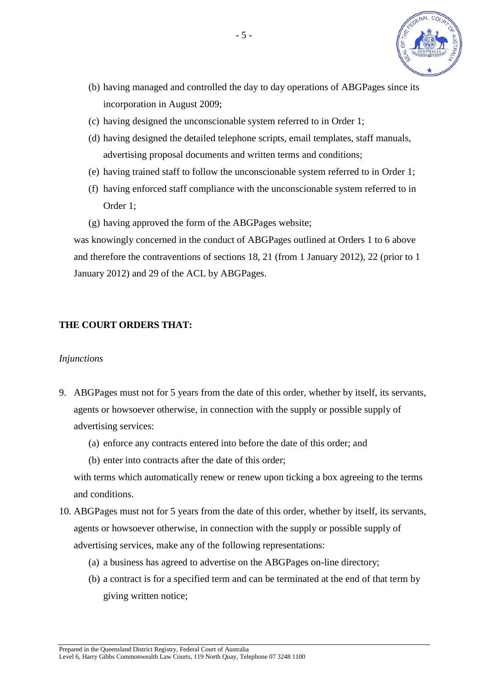

- (b) having managed and controlled the day to day operations of ABGPages since its incorporation in August 2009;
- (c) having designed the unconscionable system referred to in Order 1;
- (d) having designed the detailed telephone scripts, email templates, staff manuals, advertising proposal documents and written terms and conditions;
- (e) having trained staff to follow the unconscionable system referred to in Order 1;
- (f) having enforced staff compliance with the unconscionable system referred to in Order 1;
- (g) having approved the form of the ABGPages website;

was knowingly concerned in the conduct of ABGPages outlined at Orders 1 to 6 above and therefore the contraventions of sections 18, 21 (from 1 January 2012), 22 (prior to 1 January 2012) and 29 of the ACL by ABGPages.

## **THE COURT ORDERS THAT:**

#### *Injunctions*

- 9. ABGPages must not for 5 years from the date of this order, whether by itself, its servants, agents or howsoever otherwise, in connection with the supply or possible supply of advertising services:
	- (a) enforce any contracts entered into before the date of this order; and
	- (b) enter into contracts after the date of this order;

with terms which automatically renew or renew upon ticking a box agreeing to the terms and conditions.

- 10. ABGPages must not for 5 years from the date of this order, whether by itself, its servants, agents or howsoever otherwise, in connection with the supply or possible supply of advertising services, make any of the following representations:
	- (a) a business has agreed to advertise on the ABGPages on-line directory;
	- (b) a contract is for a specified term and can be terminated at the end of that term by giving written notice;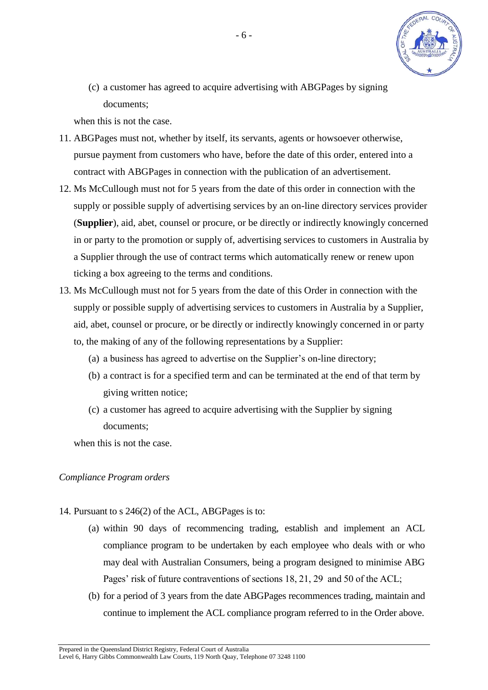

(c) a customer has agreed to acquire advertising with ABGPages by signing documents;

when this is not the case.

- 11. ABGPages must not, whether by itself, its servants, agents or howsoever otherwise, pursue payment from customers who have, before the date of this order, entered into a contract with ABGPages in connection with the publication of an advertisement.
- 12. Ms McCullough must not for 5 years from the date of this order in connection with the supply or possible supply of advertising services by an on-line directory services provider (**Supplier**), aid, abet, counsel or procure, or be directly or indirectly knowingly concerned in or party to the promotion or supply of, advertising services to customers in Australia by a Supplier through the use of contract terms which automatically renew or renew upon ticking a box agreeing to the terms and conditions.
- 13. Ms McCullough must not for 5 years from the date of this Order in connection with the supply or possible supply of advertising services to customers in Australia by a Supplier, aid, abet, counsel or procure, or be directly or indirectly knowingly concerned in or party to, the making of any of the following representations by a Supplier:
	- (a) a business has agreed to advertise on the Supplier's on-line directory;
	- (b) a contract is for a specified term and can be terminated at the end of that term by giving written notice;
	- (c) a customer has agreed to acquire advertising with the Supplier by signing documents;

when this is not the case.

## *Compliance Program orders*

- 14. Pursuant to s 246(2) of the ACL, ABGPages is to:
	- (a) within 90 days of recommencing trading, establish and implement an ACL compliance program to be undertaken by each employee who deals with or who may deal with Australian Consumers, being a program designed to minimise ABG Pages' risk of future contraventions of sections 18, 21, 29 and 50 of the ACL;
	- (b) for a period of 3 years from the date ABGPages recommences trading, maintain and continue to implement the ACL compliance program referred to in the Order above.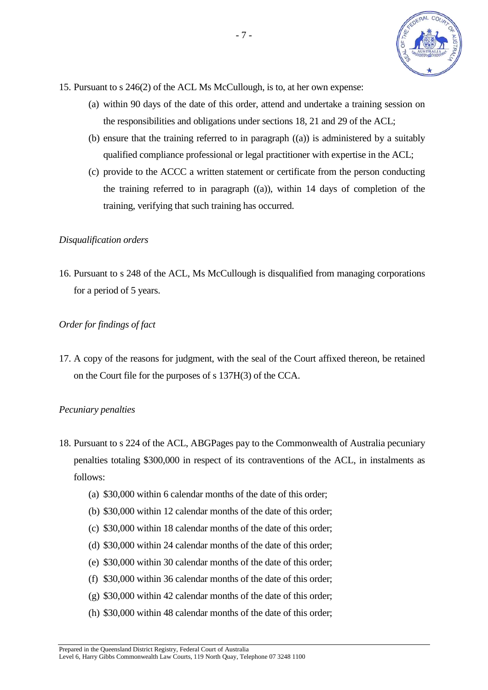

- <span id="page-6-0"></span>15. Pursuant to s 246(2) of the ACL Ms McCullough, is to, at her own expense:
	- (a) within 90 days of the date of this order, attend and undertake a training session on the responsibilities and obligations under sections 18, 21 and 29 of the ACL;
	- (b) ensure that the training referred to in paragraph [\(\(a\)\)](#page-6-0) is administered by a suitably qualified compliance professional or legal practitioner with expertise in the ACL;
	- (c) provide to the ACCC a written statement or certificate from the person conducting the training referred to in paragraph [\(\(a\)\)](#page-6-0), within 14 days of completion of the training, verifying that such training has occurred.

#### *Disqualification orders*

16. Pursuant to s 248 of the ACL, Ms McCullough is disqualified from managing corporations for a period of 5 years.

#### *Order for findings of fact*

17. A copy of the reasons for judgment, with the seal of the Court affixed thereon, be retained on the Court file for the purposes of s 137H(3) of the CCA.

#### *Pecuniary penalties*

- 18. Pursuant to s 224 of the ACL, ABGPages pay to the Commonwealth of Australia pecuniary penalties totaling \$300,000 in respect of its contraventions of the ACL, in instalments as follows:
	- (a) \$30,000 within 6 calendar months of the date of this order;
	- (b) \$30,000 within 12 calendar months of the date of this order;
	- (c) \$30,000 within 18 calendar months of the date of this order;
	- (d) \$30,000 within 24 calendar months of the date of this order;
	- (e) \$30,000 within 30 calendar months of the date of this order;
	- (f) \$30,000 within 36 calendar months of the date of this order;
	- (g) \$30,000 within 42 calendar months of the date of this order;
	- (h) \$30,000 within 48 calendar months of the date of this order;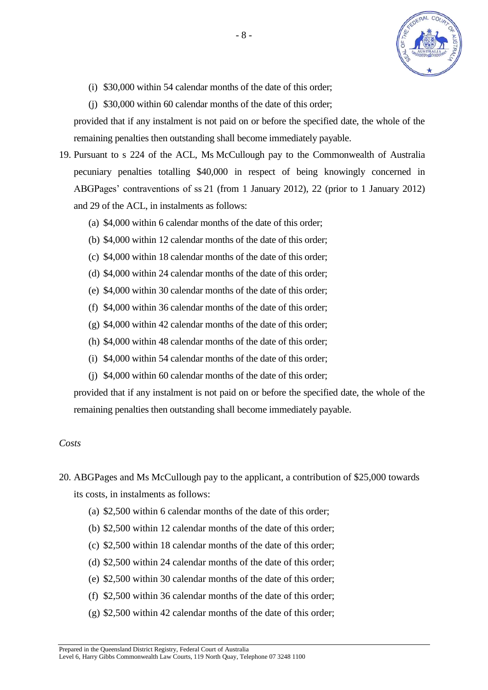

- (i) \$30,000 within 54 calendar months of the date of this order;
- (j) \$30,000 within 60 calendar months of the date of this order;

provided that if any instalment is not paid on or before the specified date, the whole of the remaining penalties then outstanding shall become immediately payable.

- 19. Pursuant to s 224 of the ACL, Ms McCullough pay to the Commonwealth of Australia pecuniary penalties totalling \$40,000 in respect of being knowingly concerned in ABGPages' contraventions of ss 21 (from 1 January 2012), 22 (prior to 1 January 2012) and 29 of the ACL, in instalments as follows:
	- (a) \$4,000 within 6 calendar months of the date of this order;
	- (b) \$4,000 within 12 calendar months of the date of this order;
	- (c) \$4,000 within 18 calendar months of the date of this order;
	- (d) \$4,000 within 24 calendar months of the date of this order;
	- (e) \$4,000 within 30 calendar months of the date of this order;
	- (f) \$4,000 within 36 calendar months of the date of this order;
	- (g) \$4,000 within 42 calendar months of the date of this order;
	- (h) \$4,000 within 48 calendar months of the date of this order;
	- (i) \$4,000 within 54 calendar months of the date of this order;
	- (j) \$4,000 within 60 calendar months of the date of this order;

provided that if any instalment is not paid on or before the specified date, the whole of the remaining penalties then outstanding shall become immediately payable.

#### *Costs*

- 20. ABGPages and Ms McCullough pay to the applicant, a contribution of \$25,000 towards its costs, in instalments as follows:
	- (a) \$2,500 within 6 calendar months of the date of this order;
	- (b) \$2,500 within 12 calendar months of the date of this order;
	- (c) \$2,500 within 18 calendar months of the date of this order;
	- (d) \$2,500 within 24 calendar months of the date of this order;
	- (e) \$2,500 within 30 calendar months of the date of this order;
	- (f) \$2,500 within 36 calendar months of the date of this order;
	- (g) \$2,500 within 42 calendar months of the date of this order;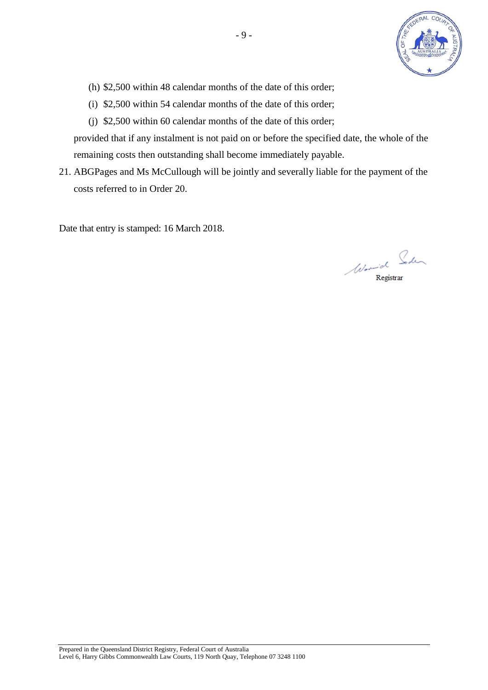

- (h) \$2,500 within 48 calendar months of the date of this order;
- (i) \$2,500 within 54 calendar months of the date of this order;
- (j) \$2,500 within 60 calendar months of the date of this order;

provided that if any instalment is not paid on or before the specified date, the whole of the remaining costs then outstanding shall become immediately payable.

21. ABGPages and Ms McCullough will be jointly and severally liable for the payment of the costs referred to in Order 20.

Date that entry is stamped: 16 March 2018.

Wormich Soden Registrar

Prepared in the Queensland District Registry, Federal Court of Australia Level 6, Harry Gibbs Commonwealth Law Courts, 119 North Quay, Telephone 07 3248 1100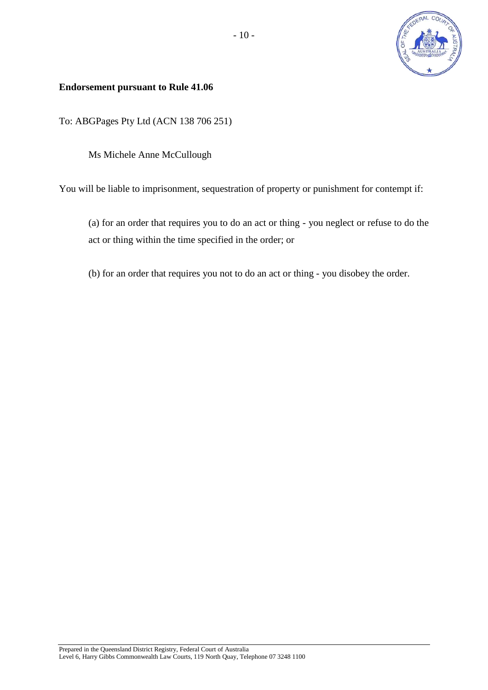

## **Endorsement pursuant to Rule 41.06**

To: ABGPages Pty Ltd (ACN 138 706 251)

Ms Michele Anne McCullough

You will be liable to imprisonment, sequestration of property or punishment for contempt if:

(a) for an order that requires you to do an act or thing - you neglect or refuse to do the act or thing within the time specified in the order; or

(b) for an order that requires you not to do an act or thing - you disobey the order.